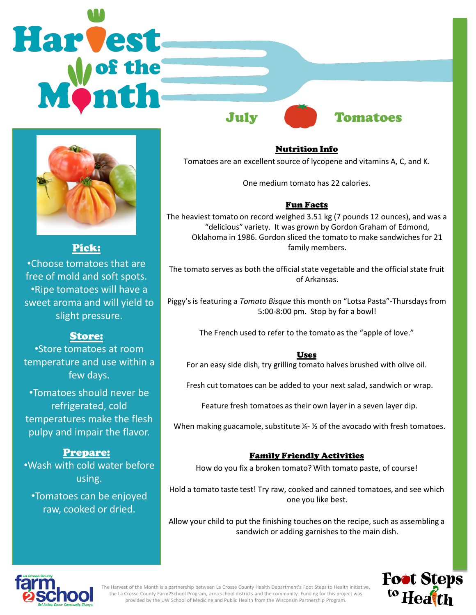



Pick:

•Choose tomatoes that are free of mold and soft spots. •Ripe tomatoes will have a sweet aroma and will yield to slight pressure.

# Store:

•Store tomatoes at room temperature and use within a few days.

•Tomatoes should never be refrigerated, cold temperatures make the flesh pulpy and impair the flavor.

## Prepare:

•Wash with cold water before using.

•Tomatoes can be enjoyed raw, cooked or dried.

Nutrition Info Tomatoes are an excellent source of lycopene and vitamins A, C, and K.

One medium tomato has 22 calories.

## Fun Facts

The heaviest tomato on record weighed 3.51 kg (7 pounds 12 ounces), and was a "delicious" variety. It was grown by Gordon Graham of Edmond, Oklahoma in 1986. Gordon sliced the tomato to make sandwiches for 21 family members.

The tomato serves as both the official state vegetable and the official state fruit of Arkansas.

Piggy's is featuring a *Tomato Bisque* this month on "Lotsa Pasta"-Thursdays from 5:00-8:00 pm. Stop by for a bowl!

The French used to refer to the tomato as the "apple of love."

## Uses

For an easy side dish, try grilling tomato halves brushed with olive oil.

Fresh cut tomatoes can be added to your next salad, sandwich or wrap.

Feature fresh tomatoes as their own layer in a seven layer dip.

When making guacamole, substitute  $\frac{1}{2}$  of the avocado with fresh tomatoes.

## Family Friendly Activities

How do you fix a broken tomato? With tomato paste, of course!

Hold a tomato taste test! Try raw, cooked and canned tomatoes, and see which one you like best.

Allow your child to put the finishing touches on the recipe, such as assembling a sandwich or adding garnishes to the main dish.





The Harvest of the Month is a partnership between La Crosse County Health Department's Foot Steps to Health initiative, the La Crosse County Farm2School Program, area school districts and the community. Funding for this project was provided by the UW School of Medicine and Public Health from the Wisconsin Partnership Program.